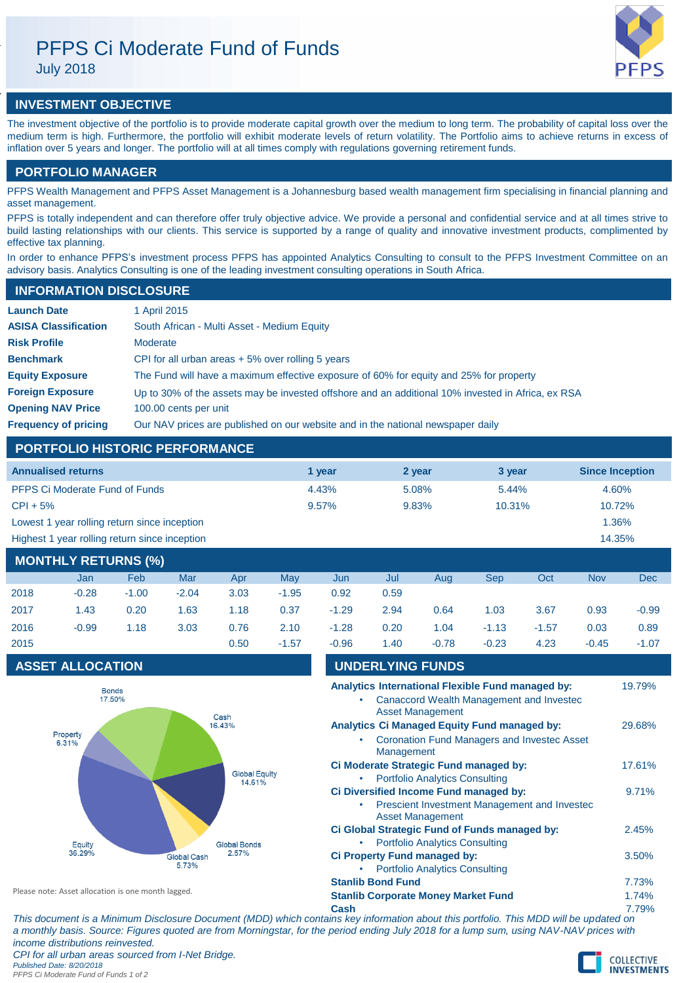# PFPS Ci Moderate Fund of Funds

July 2018



## **INVESTMENT OBJECTIVE**

The investment objective of the portfolio is to provide moderate capital growth over the medium to long term. The probability of capital loss over the medium term is high. Furthermore, the portfolio will exhibit moderate levels of return volatility. The Portfolio aims to achieve returns in excess of inflation over 5 years and longer. The portfolio will at all times comply with regulations governing retirement funds.

## **PORTFOLIO MANAGER**

PFPS Wealth Management and PFPS Asset Management is a Johannesburg based wealth management firm specialising in financial planning and asset management.

PFPS is totally independent and can therefore offer truly objective advice. We provide a personal and confidential service and at all times strive to build lasting relationships with our clients. This service is supported by a range of quality and innovative investment products, complimented by effective tax planning.

In order to enhance PFPS's investment process PFPS has appointed Analytics Consulting to consult to the PFPS Investment Committee on an advisory basis. Analytics Consulting is one of the leading investment consulting operations in South Africa.

| <b>INFORMATION DISCLOSURE</b> |                                                                                                   |  |  |  |  |
|-------------------------------|---------------------------------------------------------------------------------------------------|--|--|--|--|
| <b>Launch Date</b>            | 1 April 2015                                                                                      |  |  |  |  |
| <b>ASISA Classification</b>   | South African - Multi Asset - Medium Equity                                                       |  |  |  |  |
| <b>Risk Profile</b>           | Moderate                                                                                          |  |  |  |  |
| <b>Benchmark</b>              | CPI for all urban areas $+5\%$ over rolling 5 years                                               |  |  |  |  |
| <b>Equity Exposure</b>        | The Fund will have a maximum effective exposure of 60% for equity and 25% for property            |  |  |  |  |
| <b>Foreign Exposure</b>       | Up to 30% of the assets may be invested offshore and an additional 10% invested in Africa, ex RSA |  |  |  |  |
| <b>Opening NAV Price</b>      | 100.00 cents per unit                                                                             |  |  |  |  |
| <b>Frequency of pricing</b>   | Our NAV prices are published on our website and in the national newspaper daily                   |  |  |  |  |

## **PORTFOLIO HISTORIC PERFORMANCE**

| <b>Annualised returns</b>                     |        |        | 3 year | <b>Since Inception</b> |
|-----------------------------------------------|--------|--------|--------|------------------------|
|                                               | 1 year | 2 year |        |                        |
| <b>PFPS Ci Moderate Fund of Funds</b>         | 4.43%  | 5.08%  | 5.44%  | 4.60%                  |
| $CPI + 5%$                                    | 9.57%  | 9.83%  | 10.31% | 10.72%                 |
| Lowest 1 year rolling return since inception  |        |        |        | 1.36%                  |
| Highest 1 year rolling return since inception |        |        |        | 14.35%                 |
|                                               |        |        |        |                        |

| <b>MONTHLY RETURNS (%)</b> |         |         |         |      |         |         |      |         |         |         |            |         |
|----------------------------|---------|---------|---------|------|---------|---------|------|---------|---------|---------|------------|---------|
|                            | Jan     | Feb     | Mar     | Apr  | May     | Jun     | Jul  | Aug     | Sep     | Oct     | <b>Nov</b> | Dec     |
| 2018                       | $-0.28$ | $-1.00$ | $-2.04$ | 3.03 | $-1.95$ | 0.92    | 0.59 |         |         |         |            |         |
| 2017                       | 1.43    | 0.20    | 1.63    | 1.18 | 0.37    | $-1.29$ | 2.94 | 0.64    | 1.03    | 3.67    | 0.93       | $-0.99$ |
| 2016                       | $-0.99$ | 1.18    | 3.03    | 0.76 | 2.10    | $-1.28$ | 0.20 | 1.04    | $-1.13$ | $-1.57$ | 0.03       | 0.89    |
| 2015                       |         |         |         | 0.50 | $-1.57$ | $-0.96$ | 1.40 | $-0.78$ | $-0.23$ | 4.23    | $-0.45$    | $-1.07$ |

## **ASSET ALLOCATION**



| <b>UNDERLYING FUNDS</b>                                                    |        |  |  |
|----------------------------------------------------------------------------|--------|--|--|
| Analytics International Flexible Fund managed by:                          | 19.79% |  |  |
| <b>Canaccord Wealth Management and Investec</b><br><b>Asset Management</b> |        |  |  |
| <b>Analytics Ci Managed Equity Fund managed by:</b>                        | 29.68% |  |  |
| <b>Coronation Fund Managers and Investec Asset</b><br>Management           |        |  |  |
| Ci Moderate Strategic Fund managed by:                                     | 17.61% |  |  |
| <b>Portfolio Analytics Consulting</b><br>$\bullet$                         |        |  |  |
| Ci Diversified Income Fund managed by:                                     | 9.71%  |  |  |
| Prescient Investment Management and Investec<br><b>Asset Management</b>    |        |  |  |
| Ci Global Strategic Fund of Funds managed by:                              | 2.45%  |  |  |
| <b>Portfolio Analytics Consulting</b>                                      |        |  |  |
| Ci Property Fund managed by:                                               | 3.50%  |  |  |
| <b>Portfolio Analytics Consulting</b>                                      |        |  |  |
| <b>Stanlib Bond Fund</b>                                                   |        |  |  |

Please note: Asset allocation is one month lagged.

**Stanlib Corporate Money Market Fund** 1.74%

**Cash** 7.79% *This document is a Minimum Disclosure Document (MDD) which contains key information about this portfolio. This MDD will be updated on a monthly basis. Source: Figures quoted are from Morningstar, for the period ending July 2018 for a lump sum, using NAV-NAV prices with income distributions reinvested.*

*CPI for all urban areas sourced from I-Net Bridge. Published Date: 8/20/2018*